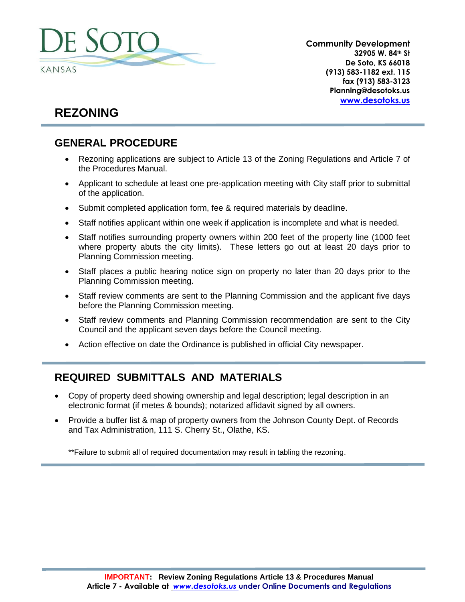

**Community Development 32905 W. 84th St De Soto, KS 66018 (913) 583-1182 ext. 115 fax (913) 583-3123 Planning@desotoks.us [www.desotoks.us](http://www.desotoks.us/)**

# **REZONING**

## **GENERAL PROCEDURE**

- Rezoning applications are subject to Article 13 of the Zoning Regulations and Article 7 of the Procedures Manual.
- Applicant to schedule at least one pre-application meeting with City staff prior to submittal of the application.
- Submit completed application form, fee & required materials by deadline.
- Staff notifies applicant within one week if application is incomplete and what is needed.
- Staff notifies surrounding property owners within 200 feet of the property line (1000 feet where property abuts the city limits). These letters go out at least 20 days prior to Planning Commission meeting.
- Staff places a public hearing notice sign on property no later than 20 days prior to the Planning Commission meeting.
- Staff review comments are sent to the Planning Commission and the applicant five days before the Planning Commission meeting.
- Staff review comments and Planning Commission recommendation are sent to the City Council and the applicant seven days before the Council meeting.
- Action effective on date the Ordinance is published in official City newspaper.

### **REQUIRED SUBMITTALS AND MATERIALS**

- Copy of property deed showing ownership and legal description; legal description in an electronic format (if metes & bounds); notarized affidavit signed by all owners.
- Provide a buffer list & map of property owners from the Johnson County Dept. of Records and Tax Administration, 111 S. Cherry St., Olathe, KS.

\*\*Failure to submit all of required documentation may result in tabling the rezoning.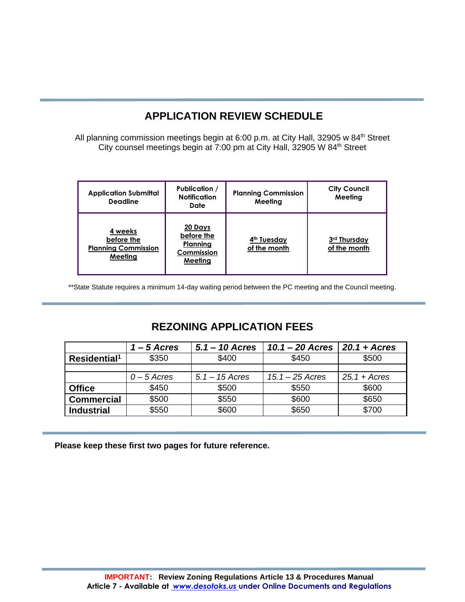## **APPLICATION REVIEW SCHEDULE**

All planning commission meetings begin at 6:00 p.m. at City Hall, 32905 w 84<sup>th</sup> Street City counsel meetings begin at 7:00 pm at City Hall, 32905 W 84<sup>th</sup> Street

| <b>Application Submittal</b><br><b>Deadline</b>                | <b>Publication /</b><br><b>Notification</b><br>Date        | <b>Planning Commission</b><br>Meeting   | <b>City Council</b><br>Meeting |
|----------------------------------------------------------------|------------------------------------------------------------|-----------------------------------------|--------------------------------|
| 4 weeks<br>before the<br><b>Planning Commission</b><br>Meetina | 20 Days<br>before the<br>Planning<br>Commission<br>Meeting | 4 <sup>th</sup> Tuesday<br>of the month | 3rd Thursday<br>of the month   |

\*\*State Statute requires a minimum 14-day waiting period between the PC meeting and the Council meeting.

### **REZONING APPLICATION FEES**

|                          | $1 - 5$ Acres | $5.1 - 10$ Acres | $10.1 - 20$ Acres | $20.1 + A$ cres |
|--------------------------|---------------|------------------|-------------------|-----------------|
| Residential <sup>1</sup> | \$350         | \$400            | \$450             | \$500           |
|                          |               |                  |                   |                 |
|                          | $0 - 5$ Acres | $5.1 - 15$ Acres | 15.1 – 25 Acres   | $25.1 + A$ cres |
| <b>Office</b>            | \$450         | \$500            | \$550             | \$600           |
| <b>Commercial</b>        | \$500         | \$550            | \$600             | \$650           |
| <b>Industrial</b>        | \$550         | \$600            | \$650             | \$700           |

**Please keep these first two pages for future reference.**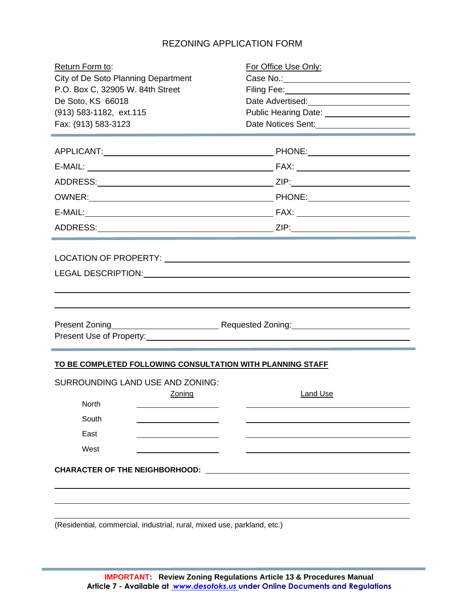### REZONING APPLICATION FORM

| Return Form to:                                            | For Office Use Only:                            |
|------------------------------------------------------------|-------------------------------------------------|
| City of De Soto Planning Department                        | Case No.: <u>Case No.:</u>                      |
| P.O. Box C, 32905 W. 84th Street                           |                                                 |
| De Soto, KS 66018                                          | Date Advertised:<br><u> </u>                    |
| (913) 583-1182, ext.115                                    | Public Hearing Date: <u>___________________</u> |
| Fax: (913) 583-3123                                        | Date Notices Sent:<br><u> </u>                  |
|                                                            |                                                 |
|                                                            |                                                 |
|                                                            |                                                 |
|                                                            |                                                 |
|                                                            |                                                 |
|                                                            |                                                 |
|                                                            |                                                 |
|                                                            |                                                 |
| LEGAL DESCRIPTION: University of the SCRIPTION:            |                                                 |
|                                                            |                                                 |
|                                                            |                                                 |
|                                                            |                                                 |
|                                                            |                                                 |
|                                                            |                                                 |
|                                                            |                                                 |
| TO BE COMPLETED FOLLOWING CONSULTATION WITH PLANNING STAFF |                                                 |
| SURROUNDING LAND USE AND ZONING:                           |                                                 |
| Zoning                                                     | Land Use                                        |
| North                                                      |                                                 |
| South                                                      |                                                 |
| East                                                       |                                                 |
| West                                                       |                                                 |
| <b>CHARACTER OF THE NEIGHBORHOOD:</b>                      |                                                 |
|                                                            |                                                 |
|                                                            |                                                 |

(Residential, commercial, industrial, rural, mixed use, parkland, etc.)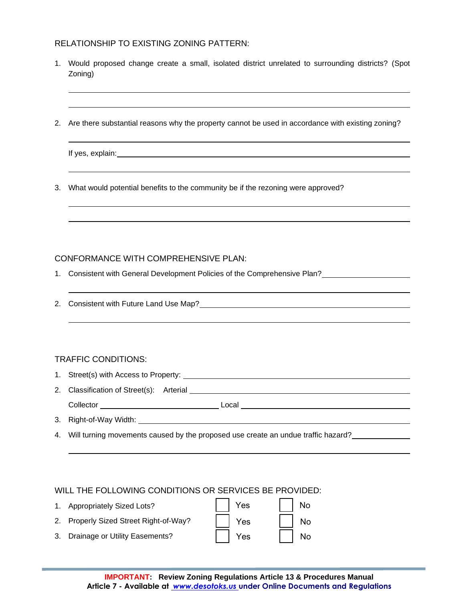#### RELATIONSHIP TO EXISTING ZONING PATTERN:

- 1. Would proposed change create a small, isolated district unrelated to surrounding districts? (Spot Zoning)
- 2. Are there substantial reasons why the property cannot be used in accordance with existing zoning?

| If yes, explain: |  |  |
|------------------|--|--|
|                  |  |  |

3. What would potential benefits to the community be if the rezoning were approved?

#### CONFORMANCE WITH COMPREHENSIVE PLAN:

- 1. Consistent with General Development Policies of the Comprehensive Plan?
- 2. Consistent with Future Land Use Map?

#### TRAFFIC CONDITIONS:

- 1. Street(s) with Access to Property: 2. Classification of Street(s): Arterial Collector Local
- 3. Right-of-Way Width:
- 4. Will turning movements caused by the proposed use create an undue traffic hazard?

#### WILL THE FOLLOWING CONDITIONS OR SERVICES BE PROVIDED:

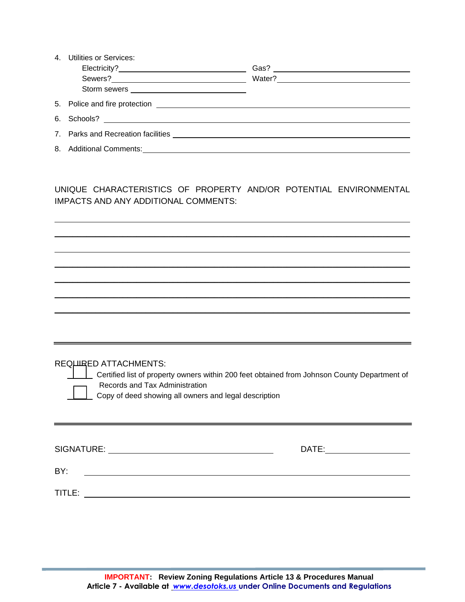| 4  | <b>Utilities or Services:</b>                                                                                                                                                                                                        |                                                               |
|----|--------------------------------------------------------------------------------------------------------------------------------------------------------------------------------------------------------------------------------------|---------------------------------------------------------------|
|    |                                                                                                                                                                                                                                      | Gas?<br><u> 1989 - Andrea State Barbara, poeta esperanto-</u> |
|    |                                                                                                                                                                                                                                      |                                                               |
|    |                                                                                                                                                                                                                                      |                                                               |
|    |                                                                                                                                                                                                                                      |                                                               |
| 6. |                                                                                                                                                                                                                                      |                                                               |
|    | 7. Parks and Recreation facilities <b>CONSTANT CONSTRUCTER AND THE READER IN A SET OF A SET OF A SET OF A SET OF A SET OF A SET OF A SET OF A SET OF A SET OF A SET OF A SET OF A SET OF A SET OF A SET OF A SET OF A SET OF A S</b> |                                                               |
| 8. |                                                                                                                                                                                                                                      |                                                               |

UNIQUE CHARACTERISTICS OF PROPERTY AND/OR POTENTIAL ENVIRONMENTAL IMPACTS AND ANY ADDITIONAL COMMENTS:

*\_\_\_\_\_\_\_\_\_\_\_\_\_\_\_\_\_\_\_\_\_\_\_\_\_\_\_\_\_\_\_\_\_\_\_\_\_\_\_\_\_\_\_\_\_\_\_\_\_\_\_\_\_\_\_\_\_\_\_\_\_\_\_\_\_\_\_\_\_\_\_\_\_\_\_\_\_\_*

*\_\_\_\_\_\_\_\_\_\_\_\_\_\_\_\_\_\_\_\_\_\_\_\_\_\_\_\_\_\_\_\_\_\_\_\_\_\_\_\_\_\_\_\_\_\_\_\_\_\_\_\_\_\_\_\_\_\_\_\_\_\_\_\_\_\_\_\_\_\_\_\_\_\_\_\_\_\_*

*\_\_\_\_\_\_\_\_\_\_\_\_\_\_\_\_\_\_\_\_\_\_\_\_\_\_\_\_\_\_\_\_\_\_\_\_\_\_\_\_\_\_\_\_\_\_\_\_\_\_\_\_\_\_\_\_\_\_\_\_\_\_\_\_\_\_\_\_\_\_\_\_\_\_\_\_\_\_*

*\_\_\_\_\_\_\_\_\_\_\_\_\_\_\_\_\_\_\_\_\_\_\_\_\_\_\_\_\_\_\_\_\_\_\_\_\_\_\_\_\_\_\_\_\_\_\_\_\_\_\_\_\_\_\_\_\_\_\_\_\_\_\_\_\_\_\_\_\_\_\_\_\_\_\_\_\_\_ \_\_\_\_\_\_\_\_\_\_\_\_\_\_\_\_\_\_\_\_\_\_\_\_\_\_\_\_\_\_\_\_\_\_\_\_\_\_\_\_\_\_\_\_\_\_\_\_\_\_\_\_\_\_\_\_\_\_\_\_\_\_\_\_\_\_\_\_\_\_\_\_\_\_\_\_\_\_*

| REQUIRED ATTACHMENTS: |  |
|-----------------------|--|

LUC Certified list of property owners within 200 feet obtained from Johnson County Department of Records and Tax Administration

Copy of deed showing all owners and legal description

| SIGNATURE: | DATE: |
|------------|-------|
| BY:        |       |
| TITLE:     |       |